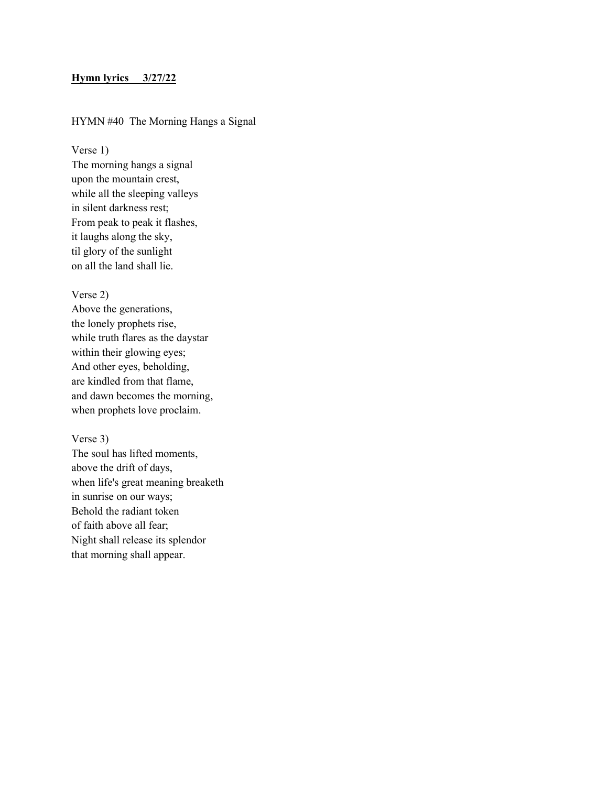## Hymn lyrics 3/27/22

# HYMN #40 The Morning Hangs a Signal

Verse 1)

The morning hangs a signal upon the mountain crest, while all the sleeping valleys in silent darkness rest; From peak to peak it flashes, it laughs along the sky, til glory of the sunlight on all the land shall lie.

## Verse 2)

Above the generations, the lonely prophets rise, while truth flares as the daystar within their glowing eyes; And other eyes, beholding, are kindled from that flame, and dawn becomes the morning, when prophets love proclaim.

#### Verse 3)

The soul has lifted moments, above the drift of days, when life's great meaning breaketh in sunrise on our ways; Behold the radiant token of faith above all fear; Night shall release its splendor that morning shall appear.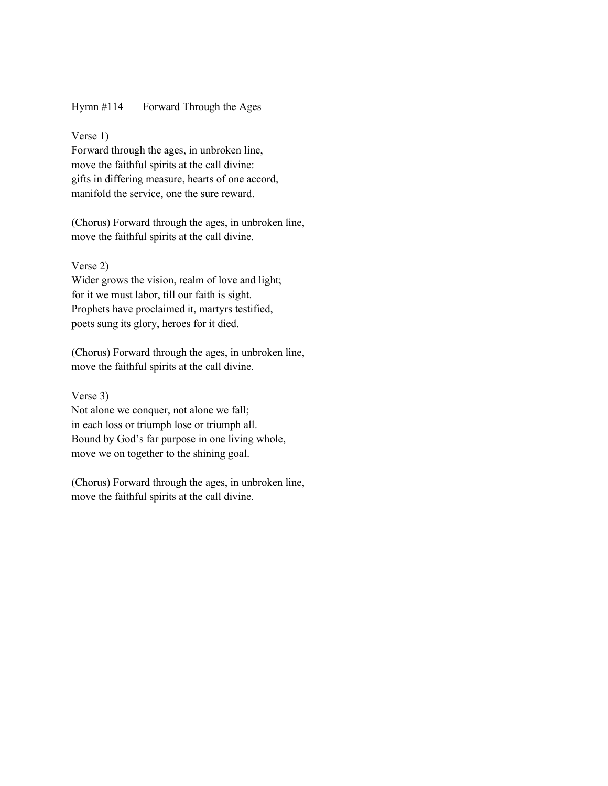## Hymn #114 Forward Through the Ages

#### Verse 1)

Forward through the ages, in unbroken line, move the faithful spirits at the call divine: gifts in differing measure, hearts of one accord, manifold the service, one the sure reward.

(Chorus) Forward through the ages, in unbroken line, move the faithful spirits at the call divine.

## Verse 2)

Wider grows the vision, realm of love and light; for it we must labor, till our faith is sight. Prophets have proclaimed it, martyrs testified, poets sung its glory, heroes for it died.

(Chorus) Forward through the ages, in unbroken line, move the faithful spirits at the call divine.

#### Verse 3)

Not alone we conquer, not alone we fall; in each loss or triumph lose or triumph all. Bound by God's far purpose in one living whole, move we on together to the shining goal.

(Chorus) Forward through the ages, in unbroken line, move the faithful spirits at the call divine.